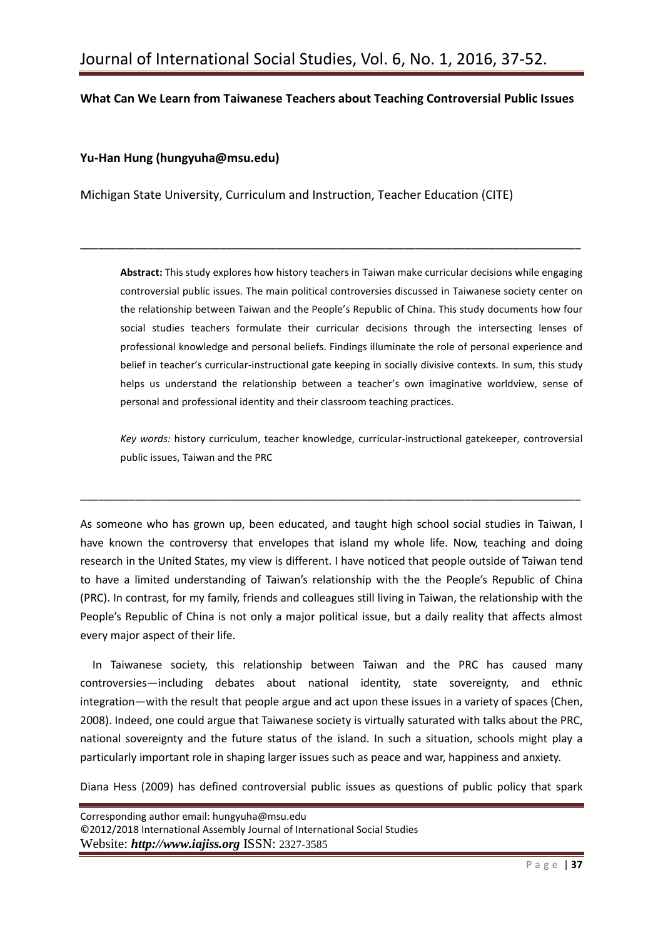# **What Can We Learn from Taiwanese Teachers about Teaching Controversial Public Issues**

\_\_\_\_\_\_\_\_\_\_\_\_\_\_\_\_\_\_\_\_\_\_\_\_\_\_\_\_\_\_\_\_\_\_\_\_\_\_\_\_\_\_\_\_\_\_\_\_\_\_\_\_\_\_\_\_\_\_\_\_\_\_\_\_\_\_\_\_\_\_\_\_\_\_\_\_\_\_\_\_\_\_

## **Yu-Han Hung [\(hungyuha@msu.edu\)](mailto:hungyuha@msu.edu)**

Michigan State University, Curriculum and Instruction, Teacher Education (CITE)

**Abstract:** This study explores how history teachers in Taiwan make curricular decisions while engaging controversial public issues. The main political controversies discussed in Taiwanese society center on the relationship between Taiwan and the People's Republic of China. This study documents how four social studies teachers formulate their curricular decisions through the intersecting lenses of professional knowledge and personal beliefs. Findings illuminate the role of personal experience and belief in teacher's curricular-instructional gate keeping in socially divisive contexts. In sum, this study helps us understand the relationship between a teacher's own imaginative worldview, sense of personal and professional identity and their classroom teaching practices.

*Key words:* history curriculum, teacher knowledge, curricular-instructional gatekeeper, controversial public issues, Taiwan and the PRC

As someone who has grown up, been educated, and taught high school social studies in Taiwan, I have known the controversy that envelopes that island my whole life. Now, teaching and doing research in the United States, my view is different. I have noticed that people outside of Taiwan tend to have a limited understanding of Taiwan's relationship with the the People's Republic of China (PRC). In contrast, for my family, friends and colleagues still living in Taiwan, the relationship with the People's Republic of China is not only a major political issue, but a daily reality that affects almost every major aspect of their life.

\_\_\_\_\_\_\_\_\_\_\_\_\_\_\_\_\_\_\_\_\_\_\_\_\_\_\_\_\_\_\_\_\_\_\_\_\_\_\_\_\_\_\_\_\_\_\_\_\_\_\_\_\_\_\_\_\_\_\_\_\_\_\_\_\_\_\_\_\_\_\_\_\_\_\_\_\_\_\_\_\_\_

In Taiwanese society, this relationship between Taiwan and the PRC has caused many controversies—including debates about national identity, state sovereignty, and ethnic integration—with the result that people argue and act upon these issues in a variety of spaces (Chen, 2008). Indeed, one could argue that Taiwanese society is virtually saturated with talks about the PRC, national sovereignty and the future status of the island. In such a situation, schools might play a particularly important role in shaping larger issues such as peace and war, happiness and anxiety.

Diana Hess (2009) has defined controversial public issues as questions of public policy that spark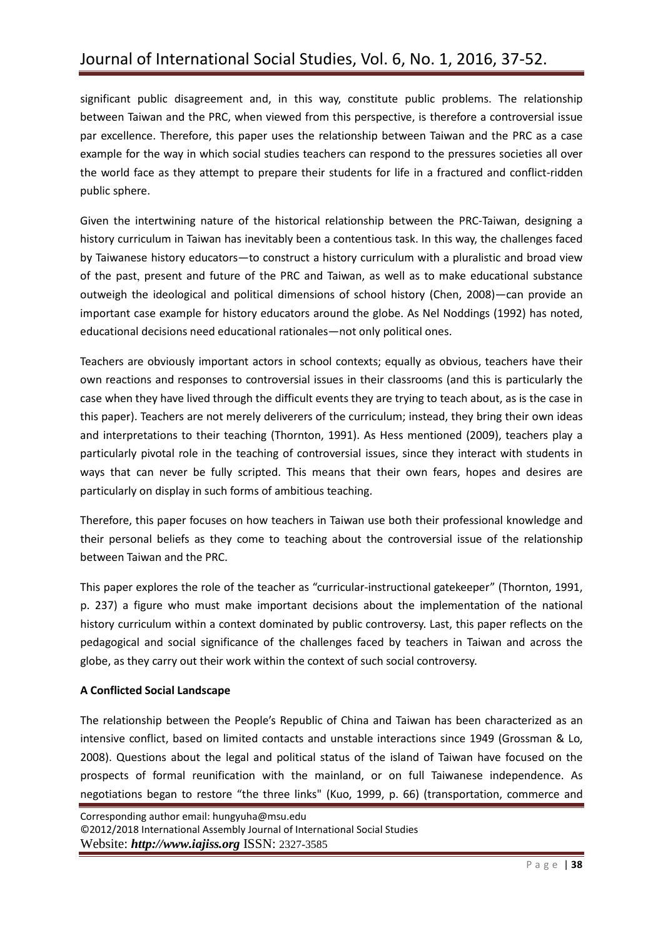significant public disagreement and, in this way, constitute public problems. The relationship between Taiwan and the PRC, when viewed from this perspective, is therefore a controversial issue par excellence. Therefore, this paper uses the relationship between Taiwan and the PRC as a case example for the way in which social studies teachers can respond to the pressures societies all over the world face as they attempt to prepare their students for life in a fractured and conflict-ridden public sphere.

Given the intertwining nature of the historical relationship between the PRC-Taiwan, designing a history curriculum in Taiwan has inevitably been a contentious task. In this way, the challenges faced by Taiwanese history educators—to construct a history curriculum with a pluralistic and broad view of the past, present and future of the PRC and Taiwan, as well as to make educational substance outweigh the ideological and political dimensions of school history (Chen, 2008)—can provide an important case example for history educators around the globe. As Nel Noddings (1992) has noted, educational decisions need educational rationales—not only political ones.

Teachers are obviously important actors in school contexts; equally as obvious, teachers have their own reactions and responses to controversial issues in their classrooms (and this is particularly the case when they have lived through the difficult events they are trying to teach about, as is the case in this paper). Teachers are not merely deliverers of the curriculum; instead, they bring their own ideas and interpretations to their teaching (Thornton, 1991). As Hess mentioned (2009), teachers play a particularly pivotal role in the teaching of controversial issues, since they interact with students in ways that can never be fully scripted. This means that their own fears, hopes and desires are particularly on display in such forms of ambitious teaching.

Therefore, this paper focuses on how teachers in Taiwan use both their professional knowledge and their personal beliefs as they come to teaching about the controversial issue of the relationship between Taiwan and the PRC.

This paper explores the role of the teacher as "curricular-instructional gatekeeper" (Thornton, 1991, p. 237) a figure who must make important decisions about the implementation of the national history curriculum within a context dominated by public controversy. Last, this paper reflects on the pedagogical and social significance of the challenges faced by teachers in Taiwan and across the globe, as they carry out their work within the context of such social controversy.

# **A Conflicted Social Landscape**

The relationship between the People's Republic of China and Taiwan has been characterized as an intensive conflict, based on limited contacts and unstable interactions since 1949 (Grossman & Lo, 2008). Questions about the legal and political status of the island of Taiwan have focused on the prospects of formal reunification with the mainland, or on full Taiwanese independence. As negotiations began to restore "the three links" (Kuo, 1999, p. 66) (transportation, commerce and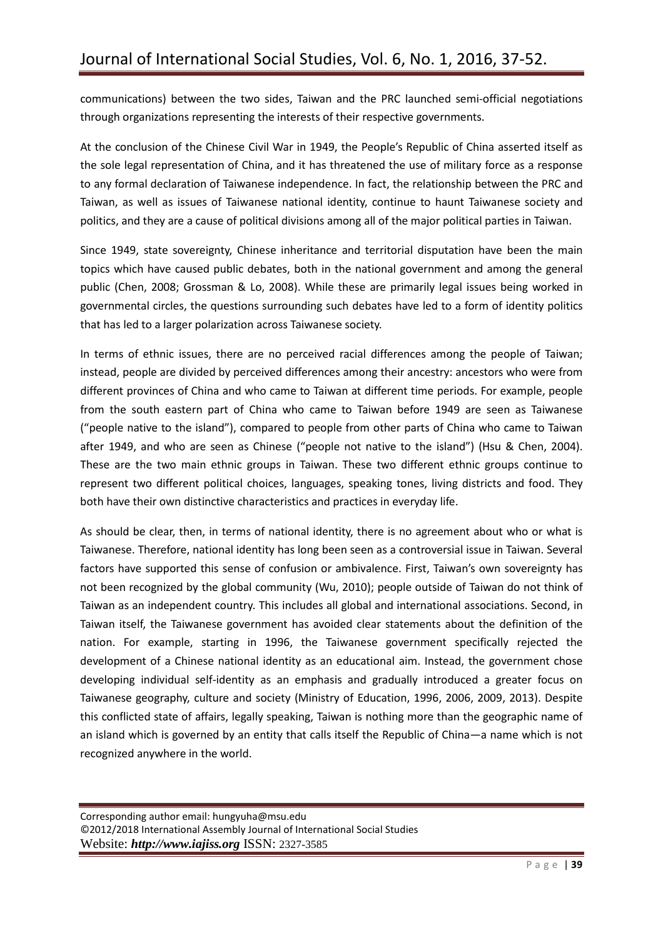communications) between the two sides, Taiwan and the PRC launched semi-official negotiations through organizations representing the interests of their respective governments.

At the conclusion of the Chinese Civil War in 1949, the People's Republic of China asserted itself as the sole legal representation of China, and it has threatened the use of military force as a response to any formal declaration of Taiwanese independence. In fact, the relationship between the PRC and Taiwan, as well as issues of Taiwanese national identity, continue to haunt Taiwanese society and politics, and they are a cause of political divisions among all of the major political parties in Taiwan.

Since 1949, state sovereignty, Chinese inheritance and territorial disputation have been the main topics which have caused public debates, both in the national government and among the general public (Chen, 2008; Grossman & Lo, 2008). While these are primarily legal issues being worked in governmental circles, the questions surrounding such debates have led to a form of identity politics that has led to a larger polarization across Taiwanese society.

In terms of ethnic issues, there are no perceived racial differences among the people of Taiwan; instead, people are divided by perceived differences among their ancestry: ancestors who were from different provinces of China and who came to Taiwan at different time periods. For example, people from the south eastern part of China who came to Taiwan before 1949 are seen as Taiwanese ("people native to the island"), compared to people from other parts of China who came to Taiwan after 1949, and who are seen as Chinese ("people not native to the island") (Hsu & Chen, 2004). These are the two main ethnic groups in Taiwan. These two different ethnic groups continue to represent two different political choices, languages, speaking tones, living districts and food. They both have their own distinctive characteristics and practices in everyday life.

As should be clear, then, in terms of national identity, there is no agreement about who or what is Taiwanese. Therefore, national identity has long been seen as a controversial issue in Taiwan. Several factors have supported this sense of confusion or ambivalence. First, Taiwan's own sovereignty has not been recognized by the global community (Wu, 2010); people outside of Taiwan do not think of Taiwan as an independent country. This includes all global and international associations. Second, in Taiwan itself, the Taiwanese government has avoided clear statements about the definition of the nation. For example, starting in 1996, the Taiwanese government specifically rejected the development of a Chinese national identity as an educational aim. Instead, the government chose developing individual self-identity as an emphasis and gradually introduced a greater focus on Taiwanese geography, culture and society (Ministry of Education, 1996, 2006, 2009, 2013). Despite this conflicted state of affairs, legally speaking, Taiwan is nothing more than the geographic name of an island which is governed by an entity that calls itself the Republic of China—a name which is not recognized anywhere in the world.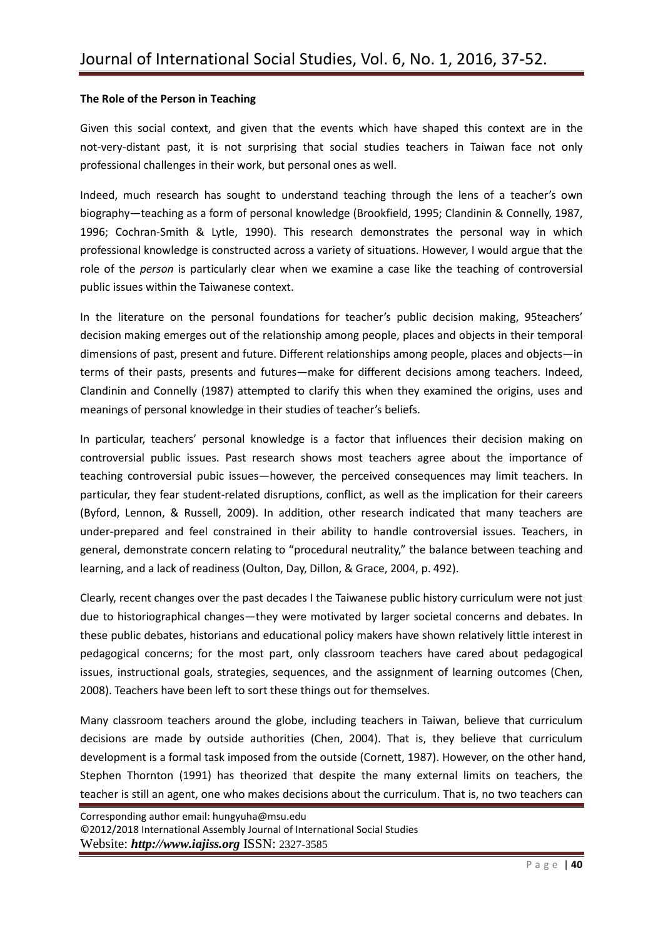## **The Role of the Person in Teaching**

Given this social context, and given that the events which have shaped this context are in the not-very-distant past, it is not surprising that social studies teachers in Taiwan face not only professional challenges in their work, but personal ones as well.

Indeed, much research has sought to understand teaching through the lens of a teacher's own biography—teaching as a form of personal knowledge (Brookfield, 1995; Clandinin & Connelly, 1987, 1996; Cochran-Smith & Lytle, 1990). This research demonstrates the personal way in which professional knowledge is constructed across a variety of situations. However, I would argue that the role of the *person* is particularly clear when we examine a case like the teaching of controversial public issues within the Taiwanese context.

In the literature on the personal foundations for teacher's public decision making, 95teachers' decision making emerges out of the relationship among people, places and objects in their temporal dimensions of past, present and future. Different relationships among people, places and objects—in terms of their pasts, presents and futures—make for different decisions among teachers. Indeed, Clandinin and Connelly (1987) attempted to clarify this when they examined the origins, uses and meanings of personal knowledge in their studies of teacher's beliefs.

In particular, teachers' personal knowledge is a factor that influences their decision making on controversial public issues. Past research shows most teachers agree about the importance of teaching controversial pubic issues—however, the perceived consequences may limit teachers. In particular, they fear student-related disruptions, conflict, as well as the implication for their careers (Byford, Lennon, & Russell, 2009). In addition, other research indicated that many teachers are under-prepared and feel constrained in their ability to handle controversial issues. Teachers, in general, demonstrate concern relating to "procedural neutrality," the balance between teaching and learning, and a lack of readiness (Oulton, Day, Dillon, & Grace, 2004, p. 492).

Clearly, recent changes over the past decades I the Taiwanese public history curriculum were not just due to historiographical changes—they were motivated by larger societal concerns and debates. In these public debates, historians and educational policy makers have shown relatively little interest in pedagogical concerns; for the most part, only classroom teachers have cared about pedagogical issues, instructional goals, strategies, sequences, and the assignment of learning outcomes (Chen, 2008). Teachers have been left to sort these things out for themselves.

Many classroom teachers around the globe, including teachers in Taiwan, believe that curriculum decisions are made by outside authorities (Chen, 2004). That is, they believe that curriculum development is a formal task imposed from the outside (Cornett, 1987). However, on the other hand, Stephen Thornton (1991) has theorized that despite the many external limits on teachers, the teacher is still an agent, one who makes decisions about the curriculum. That is, no two teachers can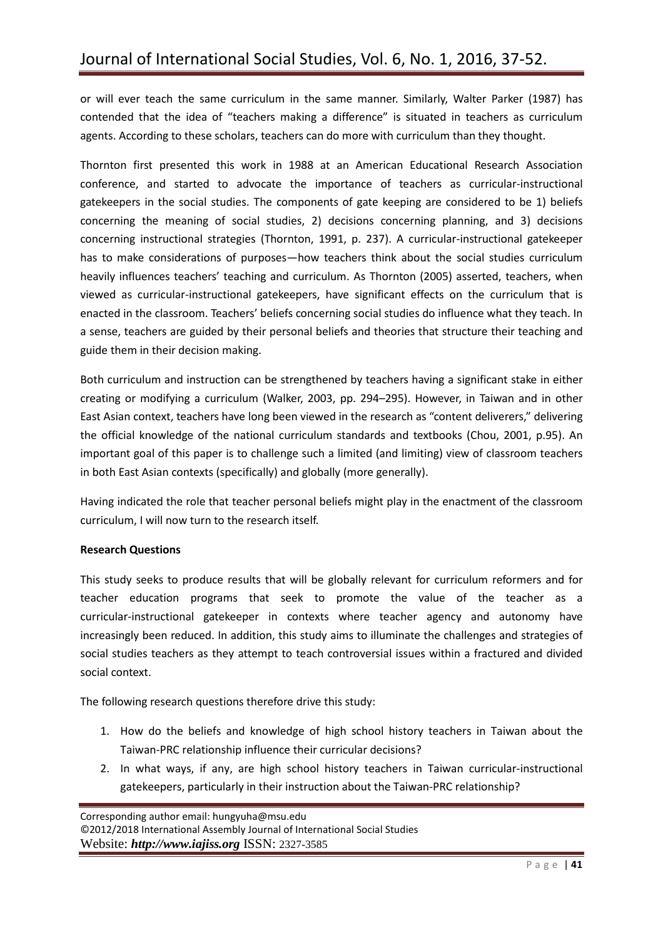or will ever teach the same curriculum in the same manner. Similarly, Walter Parker (1987) has contended that the idea of "teachers making a difference" is situated in teachers as curriculum agents. According to these scholars, teachers can do more with curriculum than they thought.

Thornton first presented this work in 1988 at an American Educational Research Association conference, and started to advocate the importance of teachers as curricular-instructional gatekeepers in the social studies. The components of gate keeping are considered to be 1) beliefs concerning the meaning of social studies, 2) decisions concerning planning, and 3) decisions concerning instructional strategies (Thornton, 1991, p. 237). A curricular-instructional gatekeeper has to make considerations of purposes—how teachers think about the social studies curriculum heavily influences teachers' teaching and curriculum. As Thornton (2005) asserted, teachers, when viewed as curricular-instructional gatekeepers, have significant effects on the curriculum that is enacted in the classroom. Teachers' beliefs concerning social studies do influence what they teach. In a sense, teachers are guided by their personal beliefs and theories that structure their teaching and guide them in their decision making.

Both curriculum and instruction can be strengthened by teachers having a significant stake in either creating or modifying a curriculum (Walker, 2003, pp. 294–295). However, in Taiwan and in other East Asian context, teachers have long been viewed in the research as "content deliverers," delivering the official knowledge of the national curriculum standards and textbooks (Chou, 2001, p.95). An important goal of this paper is to challenge such a limited (and limiting) view of classroom teachers in both East Asian contexts (specifically) and globally (more generally).

Having indicated the role that teacher personal beliefs might play in the enactment of the classroom curriculum, I will now turn to the research itself.

# **Research Questions**

This study seeks to produce results that will be globally relevant for curriculum reformers and for teacher education programs that seek to promote the value of the teacher as a curricular-instructional gatekeeper in contexts where teacher agency and autonomy have increasingly been reduced. In addition, this study aims to illuminate the challenges and strategies of social studies teachers as they attempt to teach controversial issues within a fractured and divided social context.

The following research questions therefore drive this study:

- 1. How do the beliefs and knowledge of high school history teachers in Taiwan about the Taiwan-PRC relationship influence their curricular decisions?
- 2. In what ways, if any, are high school history teachers in Taiwan curricular-instructional gatekeepers, particularly in their instruction about the Taiwan-PRC relationship?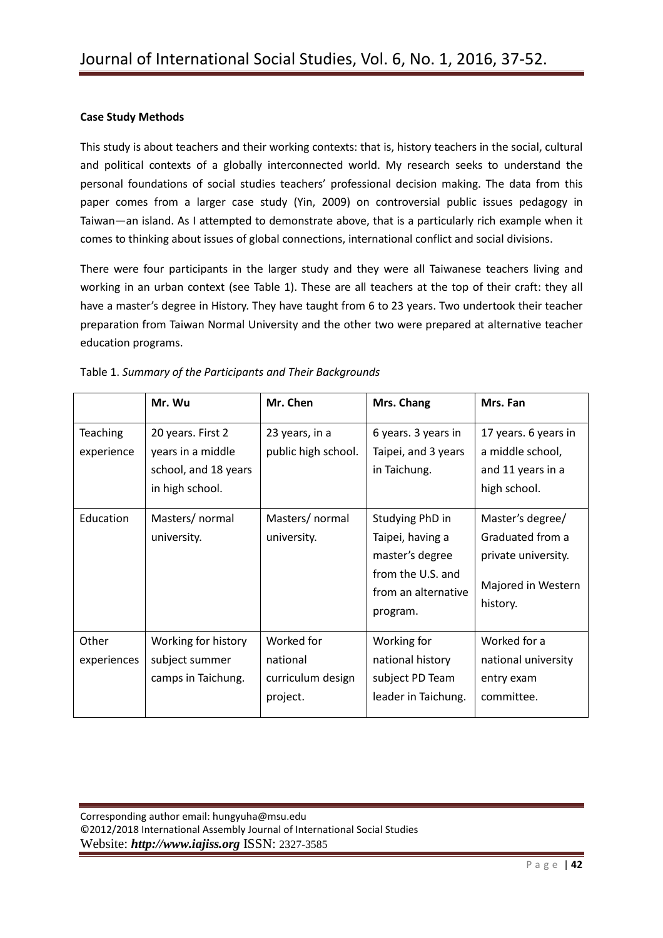## **Case Study Methods**

This study is about teachers and their working contexts: that is, history teachers in the social, cultural and political contexts of a globally interconnected world. My research seeks to understand the personal foundations of social studies teachers' professional decision making. The data from this paper comes from a larger case study (Yin, 2009) on controversial public issues pedagogy in Taiwan—an island. As I attempted to demonstrate above, that is a particularly rich example when it comes to thinking about issues of global connections, international conflict and social divisions.

There were four participants in the larger study and they were all Taiwanese teachers living and working in an urban context (see Table 1). These are all teachers at the top of their craft: they all have a master's degree in History. They have taught from 6 to 23 years. Two undertook their teacher preparation from Taiwan Normal University and the other two were prepared at alternative teacher education programs.

|                        | Mr. Wu                                                                            | Mr. Chen                                                | Mrs. Chang                                                                                                     | Mrs. Fan                                                                                      |
|------------------------|-----------------------------------------------------------------------------------|---------------------------------------------------------|----------------------------------------------------------------------------------------------------------------|-----------------------------------------------------------------------------------------------|
| Teaching<br>experience | 20 years. First 2<br>years in a middle<br>school, and 18 years<br>in high school. | 23 years, in a<br>public high school.                   | 6 years. 3 years in<br>Taipei, and 3 years<br>in Taichung.                                                     | 17 years. 6 years in<br>a middle school,<br>and 11 years in a<br>high school.                 |
| Education              | Masters/ normal<br>university.                                                    | Masters/ normal<br>university.                          | Studying PhD in<br>Taipei, having a<br>master's degree<br>from the U.S. and<br>from an alternative<br>program. | Master's degree/<br>Graduated from a<br>private university.<br>Majored in Western<br>history. |
| Other<br>experiences   | Working for history<br>subject summer<br>camps in Taichung.                       | Worked for<br>national<br>curriculum design<br>project. | Working for<br>national history<br>subject PD Team<br>leader in Taichung.                                      | Worked for a<br>national university<br>entry exam<br>committee.                               |

|  |  | Table 1. Summary of the Participants and Their Backgrounds |
|--|--|------------------------------------------------------------|
|--|--|------------------------------------------------------------|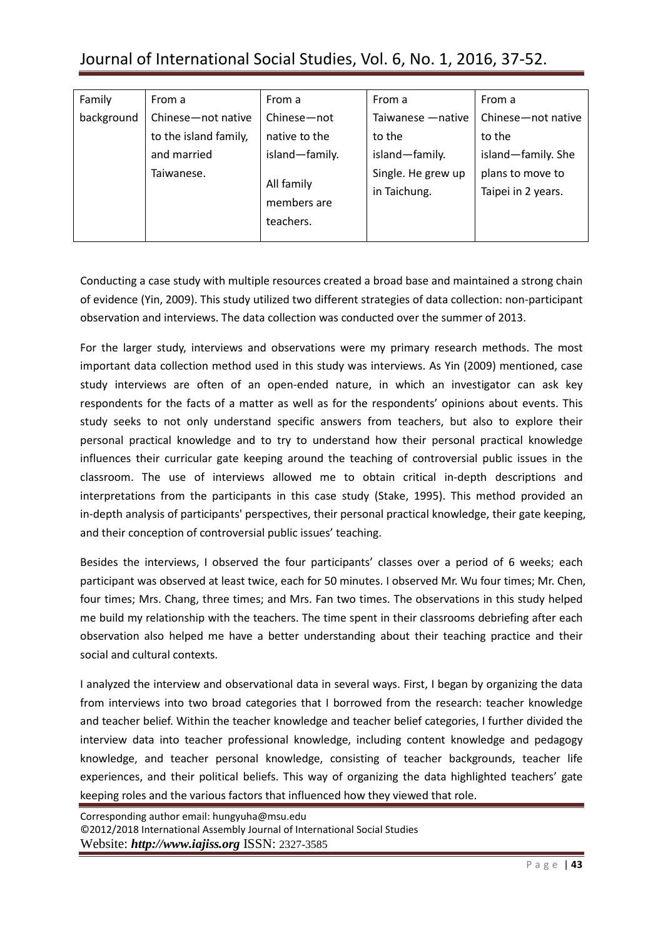# Journal of International Social Studies, Vol. 6, No. 1, 2016, 37-52.

| Family     | From a                | From a             | From a             | From a             |
|------------|-----------------------|--------------------|--------------------|--------------------|
| background | Chinese-not native    | Chinese-not        | Taiwanese - native | Chinese-not native |
|            | to the island family, | native to the      | to the             | to the             |
|            | and married           | island-family.     | island-family.     | island-family. She |
|            | Taiwanese.            | Single. He grew up | plans to move to   |                    |
|            |                       | All family         | in Taichung.       | Taipei in 2 years. |
|            | members are           |                    |                    |                    |
|            |                       | teachers.          |                    |                    |
|            |                       |                    |                    |                    |

Conducting a case study with multiple resources created a broad base and maintained a strong chain of evidence (Yin, 2009). This study utilized two different strategies of data collection: non-participant observation and interviews. The data collection was conducted over the summer of 2013.

For the larger study, interviews and observations were my primary research methods. The most important data collection method used in this study was interviews. As Yin (2009) mentioned, case study interviews are often of an open-ended nature, in which an investigator can ask key respondents for the facts of a matter as well as for the respondents' opinions about events. This study seeks to not only understand specific answers from teachers, but also to explore their personal practical knowledge and to try to understand how their personal practical knowledge influences their curricular gate keeping around the teaching of controversial public issues in the classroom. The use of interviews allowed me to obtain critical in-depth descriptions and interpretations from the participants in this case study (Stake, 1995). This method provided an in-depth analysis of participants' perspectives, their personal practical knowledge, their gate keeping, and their conception of controversial public issues' teaching.

Besides the interviews, I observed the four participants' classes over a period of 6 weeks; each participant was observed at least twice, each for 50 minutes. I observed Mr. Wu four times; Mr. Chen, four times; Mrs. Chang, three times; and Mrs. Fan two times. The observations in this study helped me build my relationship with the teachers. The time spent in their classrooms debriefing after each observation also helped me have a better understanding about their teaching practice and their social and cultural contexts.

I analyzed the interview and observational data in several ways. First, I began by organizing the data from interviews into two broad categories that I borrowed from the research: teacher knowledge and teacher belief. Within the teacher knowledge and teacher belief categories, I further divided the interview data into teacher professional knowledge, including content knowledge and pedagogy knowledge, and teacher personal knowledge, consisting of teacher backgrounds, teacher life experiences, and their political beliefs. This way of organizing the data highlighted teachers' gate keeping roles and the various factors that influenced how they viewed that role.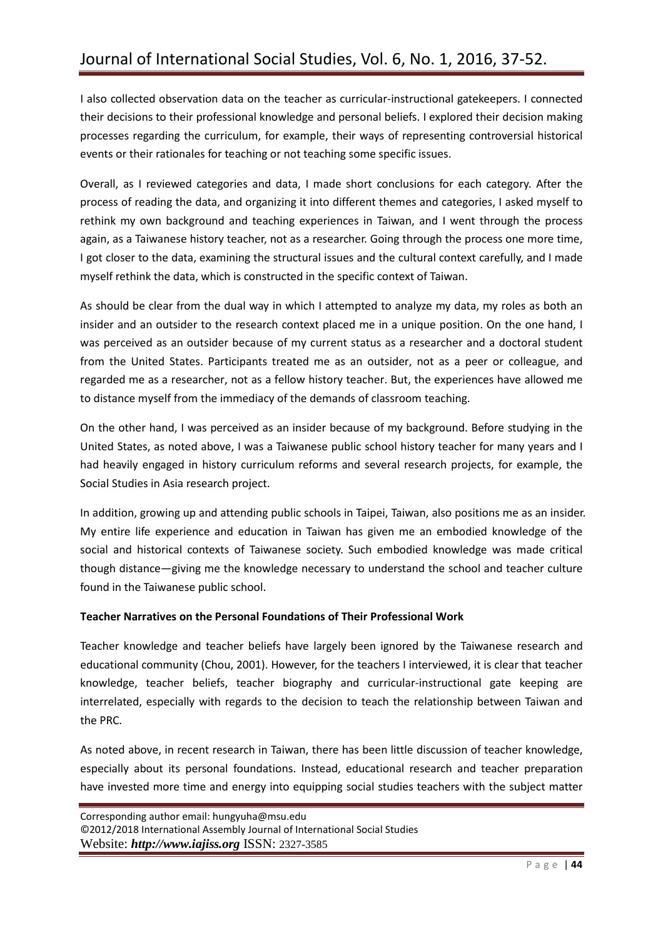I also collected observation data on the teacher as curricular-instructional gatekeepers. I connected their decisions to their professional knowledge and personal beliefs. I explored their decision making processes regarding the curriculum, for example, their ways of representing controversial historical events or their rationales for teaching or not teaching some specific issues.

Overall, as I reviewed categories and data, I made short conclusions for each category. After the process of reading the data, and organizing it into different themes and categories, I asked myself to rethink my own background and teaching experiences in Taiwan, and I went through the process again, as a Taiwanese history teacher, not as a researcher. Going through the process one more time, I got closer to the data, examining the structural issues and the cultural context carefully, and I made myself rethink the data, which is constructed in the specific context of Taiwan.

As should be clear from the dual way in which I attempted to analyze my data, my roles as both an insider and an outsider to the research context placed me in a unique position. On the one hand, I was perceived as an outsider because of my current status as a researcher and a doctoral student from the United States. Participants treated me as an outsider, not as a peer or colleague, and regarded me as a researcher, not as a fellow history teacher. But, the experiences have allowed me to distance myself from the immediacy of the demands of classroom teaching.

On the other hand, I was perceived as an insider because of my background. Before studying in the United States, as noted above, I was a Taiwanese public school history teacher for many years and I had heavily engaged in history curriculum reforms and several research projects, for example, the Social Studies in Asia research project.

In addition, growing up and attending public schools in Taipei, Taiwan, also positions me as an insider. My entire life experience and education in Taiwan has given me an embodied knowledge of the social and historical contexts of Taiwanese society. Such embodied knowledge was made critical though distance—giving me the knowledge necessary to understand the school and teacher culture found in the Taiwanese public school.

# **Teacher Narratives on the Personal Foundations of Their Professional Work**

Teacher knowledge and teacher beliefs have largely been ignored by the Taiwanese research and educational community (Chou, 2001). However, for the teachers I interviewed, it is clear that teacher knowledge, teacher beliefs, teacher biography and curricular-instructional gate keeping are interrelated, especially with regards to the decision to teach the relationship between Taiwan and the PRC.

As noted above, in recent research in Taiwan, there has been little discussion of teacher knowledge, especially about its personal foundations. Instead, educational research and teacher preparation have invested more time and energy into equipping social studies teachers with the subject matter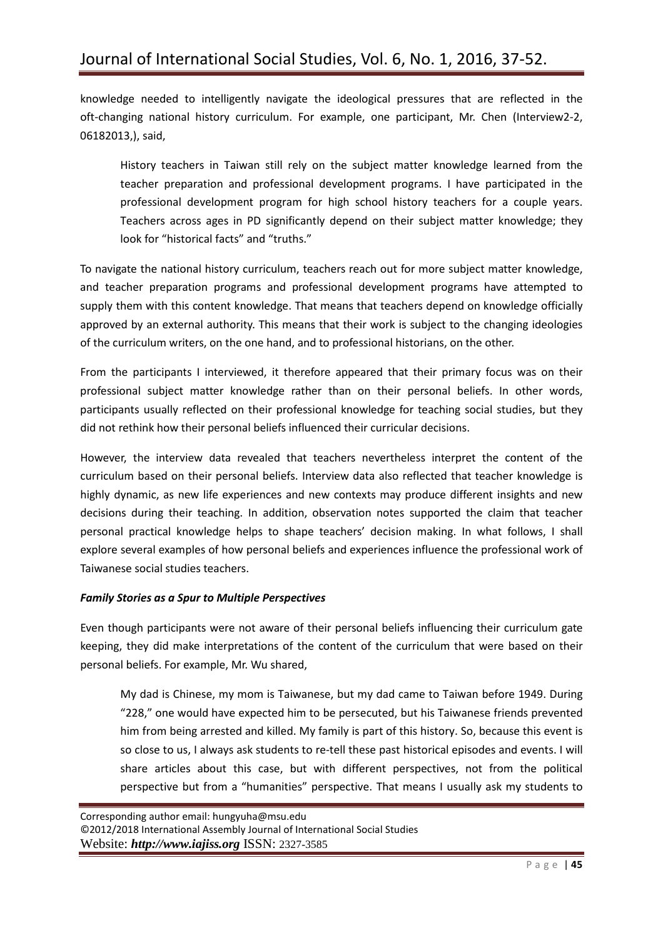knowledge needed to intelligently navigate the ideological pressures that are reflected in the oft-changing national history curriculum. For example, one participant, Mr. Chen (Interview2-2, 06182013,), said,

History teachers in Taiwan still rely on the subject matter knowledge learned from the teacher preparation and professional development programs. I have participated in the professional development program for high school history teachers for a couple years. Teachers across ages in PD significantly depend on their subject matter knowledge; they look for "historical facts" and "truths."

To navigate the national history curriculum, teachers reach out for more subject matter knowledge, and teacher preparation programs and professional development programs have attempted to supply them with this content knowledge. That means that teachers depend on knowledge officially approved by an external authority. This means that their work is subject to the changing ideologies of the curriculum writers, on the one hand, and to professional historians, on the other.

From the participants I interviewed, it therefore appeared that their primary focus was on their professional subject matter knowledge rather than on their personal beliefs. In other words, participants usually reflected on their professional knowledge for teaching social studies, but they did not rethink how their personal beliefs influenced their curricular decisions.

However, the interview data revealed that teachers nevertheless interpret the content of the curriculum based on their personal beliefs. Interview data also reflected that teacher knowledge is highly dynamic, as new life experiences and new contexts may produce different insights and new decisions during their teaching. In addition, observation notes supported the claim that teacher personal practical knowledge helps to shape teachers' decision making. In what follows, I shall explore several examples of how personal beliefs and experiences influence the professional work of Taiwanese social studies teachers.

#### *Family Stories as a Spur to Multiple Perspectives*

Even though participants were not aware of their personal beliefs influencing their curriculum gate keeping, they did make interpretations of the content of the curriculum that were based on their personal beliefs. For example, Mr. Wu shared,

My dad is Chinese, my mom is Taiwanese, but my dad came to Taiwan before 1949. During "228," one would have expected him to be persecuted, but his Taiwanese friends prevented him from being arrested and killed. My family is part of this history. So, because this event is so close to us, I always ask students to re-tell these past historical episodes and events. I will share articles about this case, but with different perspectives, not from the political perspective but from a "humanities" perspective. That means I usually ask my students to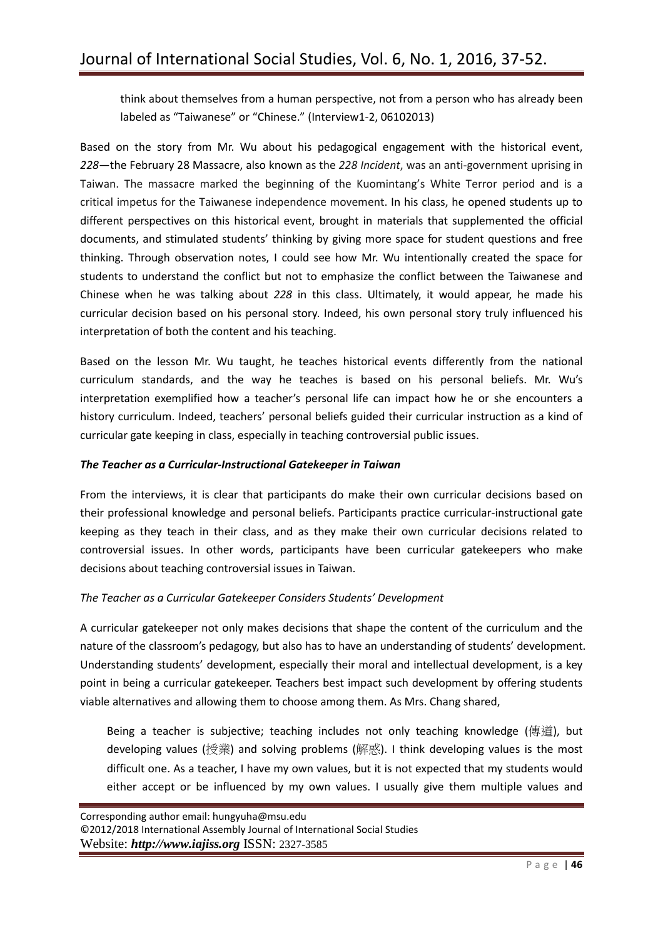think about themselves from a human perspective, not from a person who has already been labeled as "Taiwanese" or "Chinese." (Interview1-2, 06102013)

Based on the story from Mr. Wu about his pedagogical engagement with the historical event, *228*—the February 28 Massacre, also known as the *228 Incident*, was an anti-government uprising in Taiwan. The massacre marked the beginning of the Kuomintang's White Terror period and is a critical impetus for the Taiwanese independence movement. In his class, he opened students up to different perspectives on this historical event, brought in materials that supplemented the official documents, and stimulated students' thinking by giving more space for student questions and free thinking. Through observation notes, I could see how Mr. Wu intentionally created the space for students to understand the conflict but not to emphasize the conflict between the Taiwanese and Chinese when he was talking about *228* in this class. Ultimately, it would appear, he made his curricular decision based on his personal story. Indeed, his own personal story truly influenced his interpretation of both the content and his teaching.

Based on the lesson Mr. Wu taught, he teaches historical events differently from the national curriculum standards, and the way he teaches is based on his personal beliefs. Mr. Wu's interpretation exemplified how a teacher's personal life can impact how he or she encounters a history curriculum. Indeed, teachers' personal beliefs guided their curricular instruction as a kind of curricular gate keeping in class, especially in teaching controversial public issues.

## *The Teacher as a Curricular-Instructional Gatekeeper in Taiwan*

From the interviews, it is clear that participants do make their own curricular decisions based on their professional knowledge and personal beliefs. Participants practice curricular-instructional gate keeping as they teach in their class, and as they make their own curricular decisions related to controversial issues. In other words, participants have been curricular gatekeepers who make decisions about teaching controversial issues in Taiwan.

#### *The Teacher as a Curricular Gatekeeper Considers Students' Development*

A curricular gatekeeper not only makes decisions that shape the content of the curriculum and the nature of the classroom's pedagogy, but also has to have an understanding of students' development. Understanding students' development, especially their moral and intellectual development, is a key point in being a curricular gatekeeper. Teachers best impact such development by offering students viable alternatives and allowing them to choose among them. As Mrs. Chang shared,

Being a teacher is subjective; teaching includes not only teaching knowledge (傳道), but developing values (授業) and solving problems (解惑). I think developing values is the most difficult one. As a teacher, I have my own values, but it is not expected that my students would either accept or be influenced by my own values. I usually give them multiple values and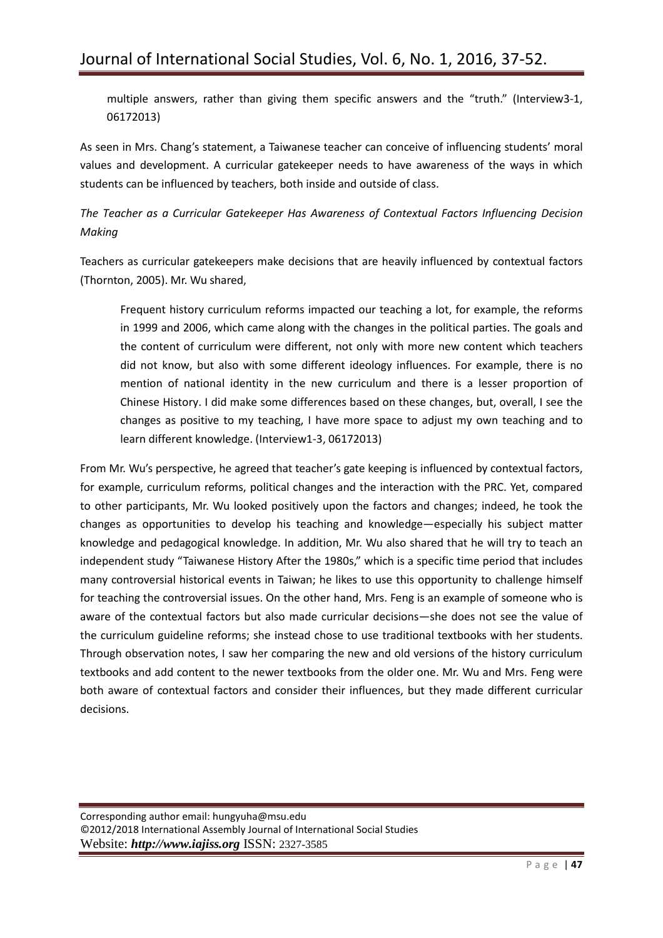multiple answers, rather than giving them specific answers and the "truth." (Interview3-1, 06172013)

As seen in Mrs. Chang's statement, a Taiwanese teacher can conceive of influencing students' moral values and development. A curricular gatekeeper needs to have awareness of the ways in which students can be influenced by teachers, both inside and outside of class.

*The Teacher as a Curricular Gatekeeper Has Awareness of Contextual Factors Influencing Decision Making*

Teachers as curricular gatekeepers make decisions that are heavily influenced by contextual factors (Thornton, 2005). Mr. Wu shared,

Frequent history curriculum reforms impacted our teaching a lot, for example, the reforms in 1999 and 2006, which came along with the changes in the political parties. The goals and the content of curriculum were different, not only with more new content which teachers did not know, but also with some different ideology influences. For example, there is no mention of national identity in the new curriculum and there is a lesser proportion of Chinese History. I did make some differences based on these changes, but, overall, I see the changes as positive to my teaching, I have more space to adjust my own teaching and to learn different knowledge. (Interview1-3, 06172013)

From Mr. Wu's perspective, he agreed that teacher's gate keeping is influenced by contextual factors, for example, curriculum reforms, political changes and the interaction with the PRC. Yet, compared to other participants, Mr. Wu looked positively upon the factors and changes; indeed, he took the changes as opportunities to develop his teaching and knowledge—especially his subject matter knowledge and pedagogical knowledge. In addition, Mr. Wu also shared that he will try to teach an independent study "Taiwanese History After the 1980s," which is a specific time period that includes many controversial historical events in Taiwan; he likes to use this opportunity to challenge himself for teaching the controversial issues. On the other hand, Mrs. Feng is an example of someone who is aware of the contextual factors but also made curricular decisions—she does not see the value of the curriculum guideline reforms; she instead chose to use traditional textbooks with her students. Through observation notes, I saw her comparing the new and old versions of the history curriculum textbooks and add content to the newer textbooks from the older one. Mr. Wu and Mrs. Feng were both aware of contextual factors and consider their influences, but they made different curricular decisions.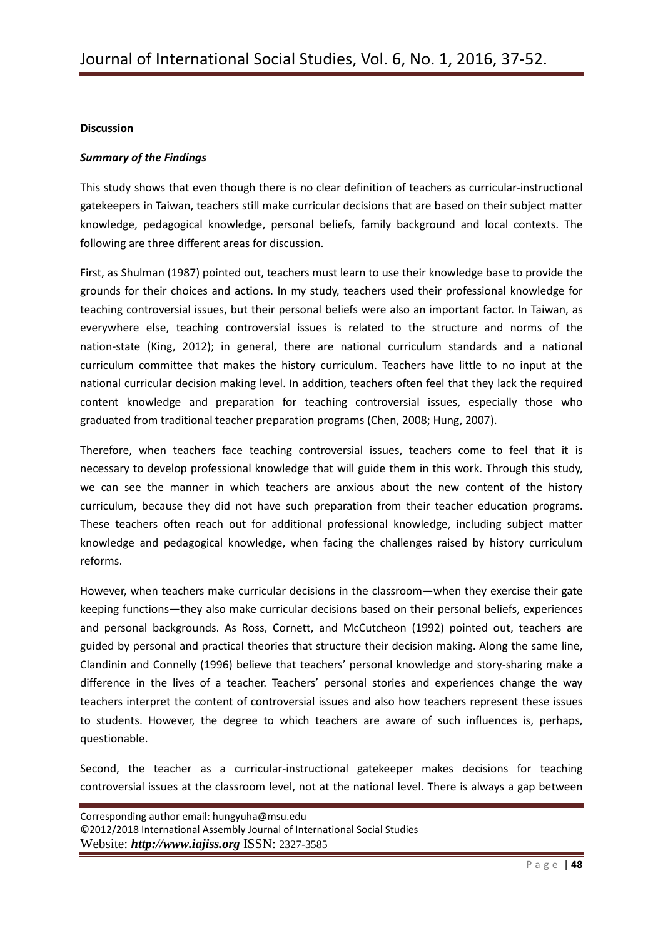## **Discussion**

## *Summary of the Findings*

This study shows that even though there is no clear definition of teachers as curricular-instructional gatekeepers in Taiwan, teachers still make curricular decisions that are based on their subject matter knowledge, pedagogical knowledge, personal beliefs, family background and local contexts. The following are three different areas for discussion.

First, as Shulman (1987) pointed out, teachers must learn to use their knowledge base to provide the grounds for their choices and actions. In my study, teachers used their professional knowledge for teaching controversial issues, but their personal beliefs were also an important factor. In Taiwan, as everywhere else, teaching controversial issues is related to the structure and norms of the nation-state (King, 2012); in general, there are national curriculum standards and a national curriculum committee that makes the history curriculum. Teachers have little to no input at the national curricular decision making level. In addition, teachers often feel that they lack the required content knowledge and preparation for teaching controversial issues, especially those who graduated from traditional teacher preparation programs (Chen, 2008; Hung, 2007).

Therefore, when teachers face teaching controversial issues, teachers come to feel that it is necessary to develop professional knowledge that will guide them in this work. Through this study, we can see the manner in which teachers are anxious about the new content of the history curriculum, because they did not have such preparation from their teacher education programs. These teachers often reach out for additional professional knowledge, including subject matter knowledge and pedagogical knowledge, when facing the challenges raised by history curriculum reforms.

However, when teachers make curricular decisions in the classroom—when they exercise their gate keeping functions—they also make curricular decisions based on their personal beliefs, experiences and personal backgrounds. As Ross, Cornett, and McCutcheon (1992) pointed out, teachers are guided by personal and practical theories that structure their decision making. Along the same line, Clandinin and Connelly (1996) believe that teachers' personal knowledge and story-sharing make a difference in the lives of a teacher. Teachers' personal stories and experiences change the way teachers interpret the content of controversial issues and also how teachers represent these issues to students. However, the degree to which teachers are aware of such influences is, perhaps, questionable.

Second, the teacher as a curricular-instructional gatekeeper makes decisions for teaching controversial issues at the classroom level, not at the national level. There is always a gap between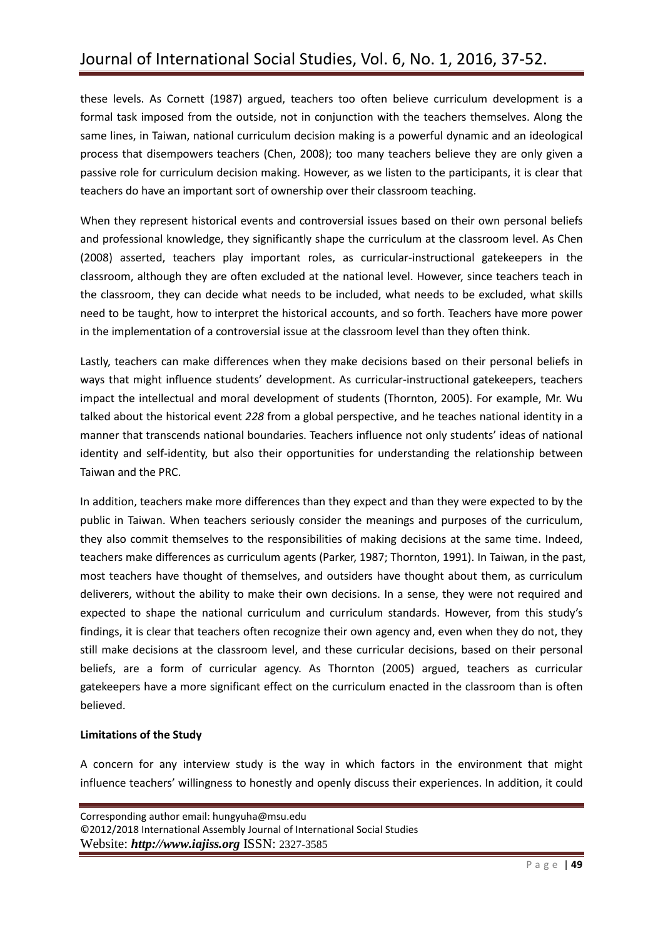these levels. As Cornett (1987) argued, teachers too often believe curriculum development is a formal task imposed from the outside, not in conjunction with the teachers themselves. Along the same lines, in Taiwan, national curriculum decision making is a powerful dynamic and an ideological process that disempowers teachers (Chen, 2008); too many teachers believe they are only given a passive role for curriculum decision making. However, as we listen to the participants, it is clear that teachers do have an important sort of ownership over their classroom teaching.

When they represent historical events and controversial issues based on their own personal beliefs and professional knowledge, they significantly shape the curriculum at the classroom level. As Chen (2008) asserted, teachers play important roles, as curricular-instructional gatekeepers in the classroom, although they are often excluded at the national level. However, since teachers teach in the classroom, they can decide what needs to be included, what needs to be excluded, what skills need to be taught, how to interpret the historical accounts, and so forth. Teachers have more power in the implementation of a controversial issue at the classroom level than they often think.

Lastly, teachers can make differences when they make decisions based on their personal beliefs in ways that might influence students' development. As curricular-instructional gatekeepers, teachers impact the intellectual and moral development of students (Thornton, 2005). For example, Mr. Wu talked about the historical event *228* from a global perspective, and he teaches national identity in a manner that transcends national boundaries. Teachers influence not only students' ideas of national identity and self-identity, but also their opportunities for understanding the relationship between Taiwan and the PRC.

In addition, teachers make more differences than they expect and than they were expected to by the public in Taiwan. When teachers seriously consider the meanings and purposes of the curriculum, they also commit themselves to the responsibilities of making decisions at the same time. Indeed, teachers make differences as curriculum agents (Parker, 1987; Thornton, 1991). In Taiwan, in the past, most teachers have thought of themselves, and outsiders have thought about them, as curriculum deliverers, without the ability to make their own decisions. In a sense, they were not required and expected to shape the national curriculum and curriculum standards. However, from this study's findings, it is clear that teachers often recognize their own agency and, even when they do not, they still make decisions at the classroom level, and these curricular decisions, based on their personal beliefs, are a form of curricular agency. As Thornton (2005) argued, teachers as curricular gatekeepers have a more significant effect on the curriculum enacted in the classroom than is often believed.

# **Limitations of the Study**

A concern for any interview study is the way in which factors in the environment that might influence teachers' willingness to honestly and openly discuss their experiences. In addition, it could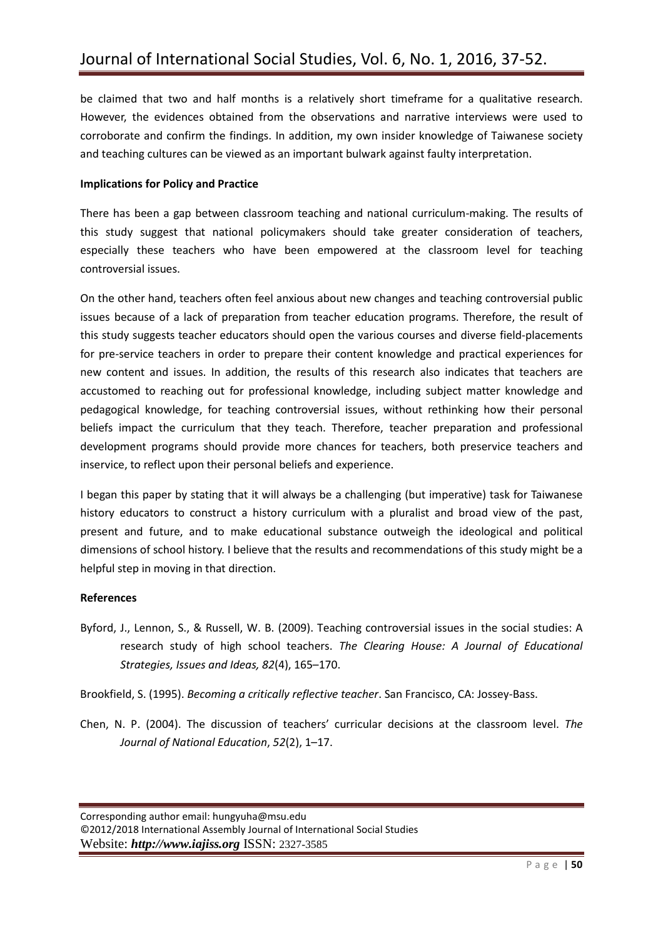be claimed that two and half months is a relatively short timeframe for a qualitative research. However, the evidences obtained from the observations and narrative interviews were used to corroborate and confirm the findings. In addition, my own insider knowledge of Taiwanese society and teaching cultures can be viewed as an important bulwark against faulty interpretation.

#### **Implications for Policy and Practice**

There has been a gap between classroom teaching and national curriculum-making. The results of this study suggest that national policymakers should take greater consideration of teachers, especially these teachers who have been empowered at the classroom level for teaching controversial issues.

On the other hand, teachers often feel anxious about new changes and teaching controversial public issues because of a lack of preparation from teacher education programs. Therefore, the result of this study suggests teacher educators should open the various courses and diverse field-placements for pre-service teachers in order to prepare their content knowledge and practical experiences for new content and issues. In addition, the results of this research also indicates that teachers are accustomed to reaching out for professional knowledge, including subject matter knowledge and pedagogical knowledge, for teaching controversial issues, without rethinking how their personal beliefs impact the curriculum that they teach. Therefore, teacher preparation and professional development programs should provide more chances for teachers, both preservice teachers and inservice, to reflect upon their personal beliefs and experience.

I began this paper by stating that it will always be a challenging (but imperative) task for Taiwanese history educators to construct a history curriculum with a pluralist and broad view of the past, present and future, and to make educational substance outweigh the ideological and political dimensions of school history. I believe that the results and recommendations of this study might be a helpful step in moving in that direction.

# **References**

Byford, J., Lennon, S., & Russell, W. B. (2009). Teaching controversial issues in the social studies: A research study of high school teachers. *The Clearing House: A Journal of Educational Strategies, Issues and Ideas, 82*(4), 165–170.

Brookfield, S. (1995). *Becoming a critically reflective teacher*. San Francisco, CA: Jossey-Bass.

Chen, N. P. (2004). The discussion of teachers' curricular decisions at the classroom level. *The Journal of National Education*, *52*(2), 1–17.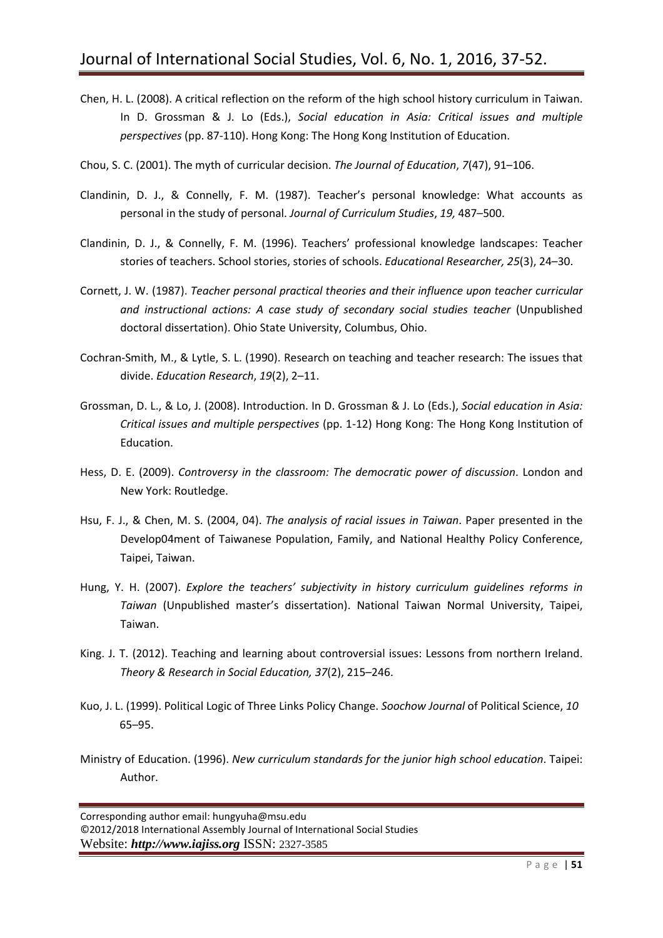- Chen, H. L. (2008). A critical reflection on the reform of the high school history curriculum in Taiwan. In D. Grossman & J. Lo (Eds.), *Social education in Asia: Critical issues and multiple perspectives* (pp. 87-110). Hong Kong: The Hong Kong Institution of Education.
- Chou, S. C. (2001). The myth of curricular decision. *The Journal of Education*, *7*(47), 91–106.
- Clandinin, D. J., & Connelly, F. M. (1987). Teacher's personal knowledge: What accounts as personal in the study of personal. *Journal of Curriculum Studies*, *19,* 487–500.
- Clandinin, D. J., & Connelly, F. M. (1996). Teachers' professional knowledge landscapes: Teacher stories of teachers. School stories, stories of schools. *Educational Researcher, 25*(3), 24–30.
- Cornett, J. W. (1987). *Teacher personal practical theories and their influence upon teacher curricular and instructional actions: A case study of secondary social studies teacher* (Unpublished doctoral dissertation). Ohio State University, Columbus, Ohio.
- Cochran-Smith, M., & Lytle, S. L. (1990). Research on teaching and teacher research: The issues that divide. *Education Research*, *19*(2), 2–11.
- Grossman, D. L., & Lo, J. (2008). Introduction. In D. Grossman & J. Lo (Eds.), *Social education in Asia: Critical issues and multiple perspectives* (pp. 1-12) Hong Kong: The Hong Kong Institution of Education.
- Hess, D. E. (2009). *Controversy in the classroom: The democratic power of discussion*. London and New York: Routledge.
- Hsu, F. J., & Chen, M. S. (2004, 04). *The analysis of racial issues in Taiwan*. Paper presented in the Develop04ment of Taiwanese Population, Family, and National Healthy Policy Conference, Taipei, Taiwan.
- Hung, Y. H. (2007). *Explore the teachers' subjectivity in history curriculum guidelines reforms in Taiwan* (Unpublished master's dissertation). National Taiwan Normal University, Taipei, Taiwan.
- King. J. T. (2012). Teaching and learning about controversial issues: Lessons from northern Ireland. *Theory & Research in Social Education, 37*(2), 215–246.
- Kuo, J. L. (1999). Political Logic of Three Links Policy Change. *Soochow Journal* of Political Science, *10* 65–95.
- Ministry of Education. (1996). *New curriculum standards for the junior high school education*. Taipei: Author.

Corresponding author email: [hungyuha@msu.edu](mailto:hungyuha@msu.edu) ©2012/2018 International Assembly Journal of International Social Studies Website: *http://www.iajiss.org* ISSN: 2327-3585